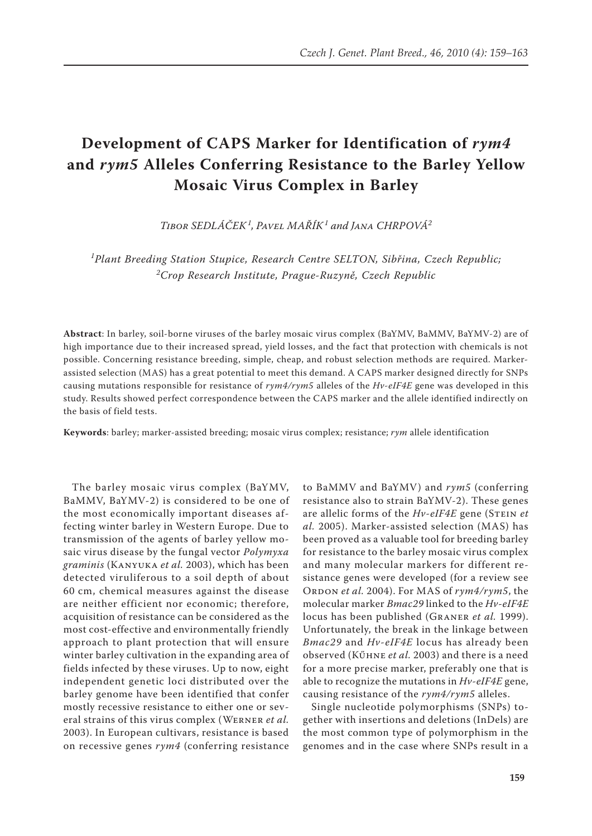# **Development of CAPS Marker for Identification of** *rym4*  **and** *rym5* **Alleles Conferring Resistance to the Barley Yellow Mosaic Virus Complex in Barley**

*Tibor Sedláček<sup>1</sup> , Pavel Mařík<sup>1</sup> and Jana Chrpová<sup>2</sup>*

*1 Plant Breeding Station Stupice, Research Centre SELTON, Sibřina, Czech Republic; 2 Crop Research Institute, Prague-Ruzyně, Czech Republic*

**Abstract**: In barley, soil-borne viruses of the barley mosaic virus complex (BaYMV, BaMMV, BaYMV-2) are of high importance due to their increased spread, yield losses, and the fact that protection with chemicals is not possible. Concerning resistance breeding, simple, cheap, and robust selection methods are required. Markerassisted selection (MAS) has a great potential to meet this demand. A CAPS marker designed directly for SNPs causing mutations responsible for resistance of *rym4/rym5* alleles of the *Hv-eIF4E* gene was developed in this study. Results showed perfect correspondence between the CAPS marker and the allele identified indirectly on the basis of field tests.

**Keywords**: barley; marker-assisted breeding; mosaic virus complex; resistance; *rym* allele identification

The barley mosaic virus complex (BaYMV, BaMMV, BaYMV-2) is considered to be one of the most economically important diseases affecting winter barley in Western Europe. Due to transmission of the agents of barley yellow mosaic virus disease by the fungal vector *Polymyxa graminis* (Kanyuka *et al.* 2003), which has been detected viruliferous to a soil depth of about 60 cm, chemical measures against the disease are neither efficient nor economic; therefore, acquisition of resistance can be considered as the most cost-effective and environmentally friendly approach to plant protection that will ensure winter barley cultivation in the expanding area of fields infected by these viruses. Up to now, eight independent genetic loci distributed over the barley genome have been identified that confer mostly recessive resistance to either one or several strains of this virus complex (Werner *et al.* 2003). In European cultivars, resistance is based on recessive genes *rym4* (conferring resistance

to BaMMV and BaYMV) and *rym5* (conferring resistance also to strain BaYMV-2). These genes are allelic forms of the *Hv-eIF4E* gene (STEIN *et al.* 2005). Marker-assisted selection (MAS) has been proved as a valuable tool for breeding barley for resistance to the barley mosaic virus complex and many molecular markers for different resistance genes were developed (for a review see ORDON *et al.* 2004). For MAS of *rym4/rym5*, the molecular marker *Bmac29* linked to the *Hv-eIF4E* locus has been published (Graner *et al.* 1999). Unfortunately, the break in the linkage between *Bmac29* and *Hv-eIF4E* locus has already been observed (Kűhne *et al.* 2003) and there is a need for a more precise marker, preferably one that is able to recognize the mutations in *Hv-eIF4E* gene, causing resistance of the *rym4/rym5* alleles.

Single nucleotide polymorphisms (SNPs) together with insertions and deletions (InDels) are the most common type of polymorphism in the genomes and in the case where SNPs result in a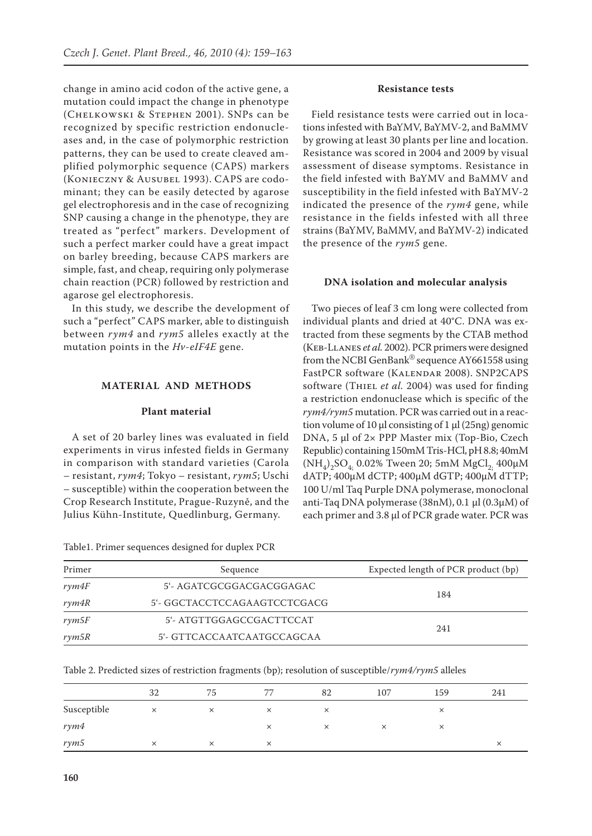change in amino acid codon of the active gene, a mutation could impact the change in phenotype (Chelkowski & Stephen 2001). SNPs can be recognized by specific restriction endonucleases and, in the case of polymorphic restriction patterns, they can be used to create cleaved amplified polymorphic sequence (CAPS) markers (Konieczny & Ausubel 1993). CAPS are codominant; they can be easily detected by agarose gel electrophoresis and in the case of recognizing SNP causing a change in the phenotype, they are treated as "perfect" markers. Development of such a perfect marker could have a great impact on barley breeding, because CAPS markers are simple, fast, and cheap, requiring only polymerase chain reaction (PCR) followed by restriction and agarose gel electrophoresis.

In this study, we describe the development of such a "perfect" CAPS marker, able to distinguish between *rym4* and *rym5* alleles exactly at the mutation points in the *Hv-eIF4E* gene.

# **Material and Methods**

## **Plant material**

A set of 20 barley lines was evaluated in field experiments in virus infested fields in Germany in comparison with standard varieties (Carola – resistant, *rym4*; Tokyo – resistant, *rym5*; Uschi – susceptible) within the cooperation between the Crop Research Institute, Prague-Ruzyně, and the Julius Kühn-Institute, Quedlinburg, Germany.

Table1. Primer sequences designed for duplex PCR

#### **Resistance tests**

Field resistance tests were carried out in locations infested with BaYMV, BaYMV-2, and BaMMV by growing at least 30 plants per line and location. Resistance was scored in 2004 and 2009 by visual assessment of disease symptoms. Resistance in the field infested with BaYMV and BaMMV and susceptibility in the field infested with BaYMV-2 indicated the presence of the *rym4* gene, while resistance in the fields infested with all three strains (BaYMV, BaMMV, and BaYMV-2) indicated the presence of the *rym5* gene.

#### **DNA isolation and molecular analysis**

Two pieces of leaf 3 cm long were collected from individual plants and dried at 40°C. DNA was extracted from these segments by the CTAB method (Keb-Llanes *et al.* 2002). PCR primers were designed from the NCBI GenBank® sequence AY661558 using FastPCR software (Kalendar 2008). SNP2CAPS software (THIEL *et al.* 2004) was used for finding a restriction endonuclease which is specific of the *rym4/rym5* mutation. PCR was carried out in a reaction volume of 10 μl consisting of 1 μl (25ng) genomic DNA, 5 μl of 2× PPP Master mix (Top-Bio, Czech Republic) containing 150mM Tris-HCl, pH 8.8; 40mM  $(NH_4)_2SO_4$ , 0.02% Tween 20; 5mM MgCl<sub>2</sub>, 400 $\mu$ M dATP; 400µM dCTP; 400µM dGTP; 400µM dTTP; 100 U/ml Taq Purple DNA polymerase, monoclonal anti-Taq DNA polymerase (38nM), 0.1 μl (0.3μM) of each primer and 3.8 μl of PCR grade water. PCR was

| Primer | Sequence                     | Expected length of PCR product (bp) |  |  |
|--------|------------------------------|-------------------------------------|--|--|
| rym4F  | 5'- AGATCGCGGACGACGGAGAC     |                                     |  |  |
| rym4R  | 5'- GGCTACCTCCAGAAGTCCTCGACG | 184                                 |  |  |
| rym5F  | 5'- ATGTTGGAGCCGACTTCCAT     |                                     |  |  |
| rym5R  | 5'- GTTCACCAATCAATGCCAGCAA   | 241                                 |  |  |

Table 2. Predicted sizes of restriction fragments (bp); resolution of susceptible/*rym4/rym5* alleles

|             | 32       | 75       | 77       | 82       | 107 | 159      | 241      |
|-------------|----------|----------|----------|----------|-----|----------|----------|
| Susceptible | ×        | $\times$ | $\times$ | $\times$ |     | $\times$ |          |
| rym4        |          |          | ×        | $\times$ |     | ×        |          |
| rym5        | $\times$ | ×        | $\times$ |          |     |          | $\times$ |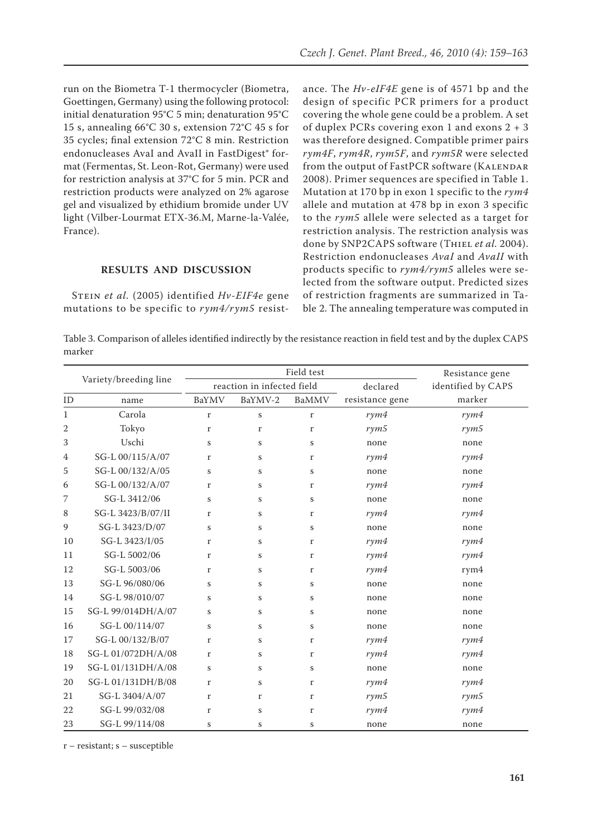run on the Biometra T-1 thermocycler (Biometra, Goettingen, Germany) using the following protocol: initial denaturation 95°C 5 min; denaturation 95°C 15 s, annealing 66°C 30 s, extension 72°C 45 s for 35 cycles; final extension 72°C 8 min. Restriction endonucleases AvaI and AvaII in FastDigest® format (Fermentas, St. Leon-Rot, Germany) were used for restriction analysis at 37°C for 5 min. PCR and restriction products were analyzed on 2% agarose gel and visualized by ethidium bromide under UV light (Vilber-Lourmat ETX-36.M, Marne-la-Valée, France).

## **Results and discussion**

Stein *et al.* (2005) identified *Hv-EIF4e* gene mutations to be specific to *rym4/rym5* resistance. The *Hv-eIF4E* gene is of 4571 bp and the design of specific PCR primers for a product covering the whole gene could be a problem. A set of duplex PCRs covering exon 1 and exons 2 + 3 was therefore designed. Compatible primer pairs *rym4F*, *rym4R*, *rym5F*, and *rym5R* were selected from the output of FastPCR software (KALENDAR 2008). Primer sequences are specified in Table 1. Mutation at 170 bp in exon 1 specific to the *rym4* allele and mutation at 478 bp in exon 3 specific to the *rym5* allele were selected as a target for restriction analysis. The restriction analysis was done by SNP2CAPS software (THIEL et al. 2004). Restriction endonucleases *AvaI* and *AvaII* with products specific to *rym4/rym5* alleles were selected from the software output. Predicted sizes of restriction fragments are summarized in Table 2. The annealing temperature was computed in

Table 3. Comparison of alleles identified indirectly by the resistance reaction in field test and by the duplex CAPS marker

|                       |                    |                            | Field test   | Resistance gene |                 |                    |  |
|-----------------------|--------------------|----------------------------|--------------|-----------------|-----------------|--------------------|--|
| Variety/breeding line |                    | reaction in infected field |              |                 | declared        | identified by CAPS |  |
| ID                    | name               | BaYMV                      | BaYMV-2      | BaMMV           | resistance gene | marker             |  |
| $\mathbf{1}$          | Carola             | $\mathbf r$                | $\bf S$      | $\mathbf r$     | rym4            | rym4               |  |
| 2                     | Tokyo              | r                          | $\mathbf{r}$ | $\mathbf{r}$    | rym5            | rym5               |  |
| 3                     | Uschi              | S                          | $\bf S$      | S               | none            | none               |  |
| 4                     | SG-L 00/115/A/07   | r                          | S            | r               | rym4            | rym4               |  |
| 5                     | SG-L 00/132/A/05   | $\bf S$                    | $\bf S$      | $\bf S$         | none            | none               |  |
| 6                     | SG-L 00/132/A/07   | r                          | S            | r               | rym4            | rym4               |  |
| 7                     | SG-L 3412/06       | $\bf S$                    | $\bf S$      | $\bf S$         | none            | none               |  |
| 8                     | SG-L 3423/B/07/II  | r                          | S            | r               | rym4            | rym4               |  |
| 9                     | SG-L 3423/D/07     | S                          | $\bf S$      | $\bf S$         | none            | none               |  |
| 10                    | SG-L 3423/I/05     | r                          | S            | r               | rym4            | rym4               |  |
| 11                    | SG-L 5002/06       | r                          | $\bf S$      | r               | rym4            | rym4               |  |
| 12                    | SG-L 5003/06       | r                          | $\bf S$      | $\mathbf r$     | rym4            | rym4               |  |
| 13                    | SG-L 96/080/06     | S                          | S            | S               | none            | none               |  |
| 14                    | SG-L 98/010/07     | S                          | S            | S               | none            | none               |  |
| 15                    | SG-L 99/014DH/A/07 | S                          | $\bf S$      | $\bf S$         | none            | none               |  |
| 16                    | SG-L 00/114/07     | S                          | S            | S               | none            | none               |  |
| 17                    | SG-L 00/132/B/07   | r                          | S            | $\mathbf{r}$    | rym4            | rym4               |  |
| 18                    | SG-L 01/072DH/A/08 | r                          | $\bf S$      | r               | rym4            | rym4               |  |
| 19                    | SG-L 01/131DH/A/08 | $\bf S$                    | $\bf S$      | $\bf S$         | none            | none               |  |
| 20                    | SG-L 01/131DH/B/08 | r                          | S            | r               | rym4            | rym4               |  |
| 21                    | SG-L 3404/A/07     | r                          | $\mathbf{r}$ | r               | rym5            | rym5               |  |
| 22                    | SG-L 99/032/08     | r                          | S            | r               | rym4            | rym4               |  |
| 23                    | SG-L 99/114/08     | S                          | S            | $\bf S$         | none            | none               |  |

r – resistant; s – susceptible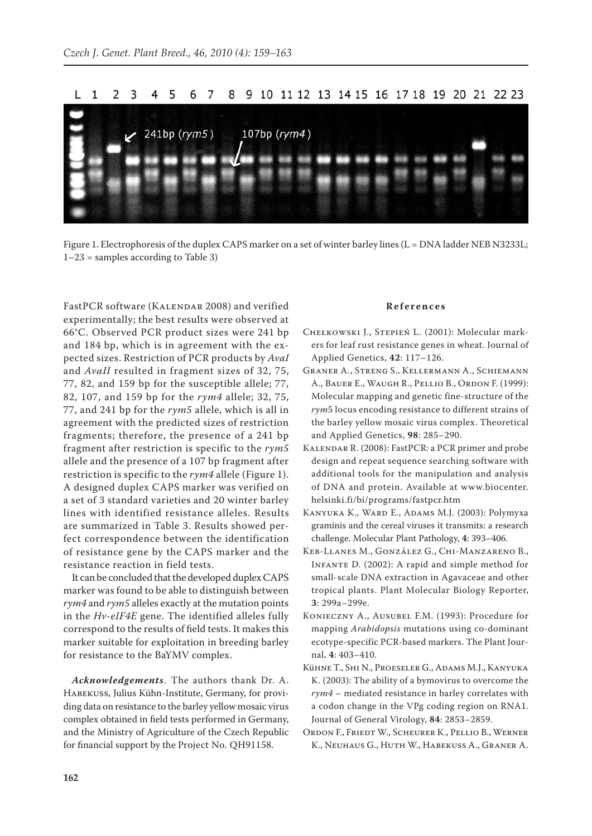9 10 11 12 13 14 15 16 17 18 19 20 21 22 23 L.  $\mathbf{1}$ 2 3 6 7 8 241bp (rym5) 107bp (rym4)

Figure 1. Electrophoresis of the duplex CAPS marker on a set of winter barley lines (L = DNA ladder NEB N3233L;  $1-23$  = samples according to Table 3)

FastPCR software (KALENDAR 2008) and verified experimentally; the best results were observed at 66°C. Observed PCR product sizes were 241 bp and 184 bp, which is in agreement with the expected sizes. Restriction of PCR products by *AvaI* and *AvaII* resulted in fragment sizes of 32, 75, 77, 82, and 159 bp for the susceptible allele; 77, 82, 107, and 159 bp for the *rym4* allele; 32, 75, 77, and 241 bp for the *rym5* allele, which is all in agreement with the predicted sizes of restriction fragments; therefore, the presence of a 241 bp fragment after restriction is specific to the *rym5* allele and the presence of a 107 bp fragment after restriction is specific to the *rym4* allele (Figure 1). A designed duplex CAPS marker was verified on a set of 3 standard varieties and 20 winter barley lines with identified resistance alleles. Results are summarized in Table 3. Results showed perfect correspondence between the identification of resistance gene by the CAPS marker and the resistance reaction in field tests.

It can be concluded that the developed duplex CAPS marker was found to be able to distinguish between *rym4* and *rym5* alleles exactly at the mutation points in the *Hv-eIF4E* gene. The identified alleles fully correspond to the results of field tests. It makes this marker suitable for exploitation in breeding barley for resistance to the BaYMV complex.

*Acknowledgements*. The authors thank Dr. A. Habekuss, Julius Kühn-Institute, Germany, for providing data on resistance to the barley yellow mosaic virus complex obtained in field tests performed in Germany, and the Ministry of Agriculture of the Czech Republic for financial support by the Project No. QH91158.

#### **R e f e r e n c e s**

- Chełkowski J., Stepień L. (2001): Molecular markers for leaf rust resistance genes in wheat. Journal of Applied Genetics, **42**: 117–126.
- Graner A., Streng S., Kellermann A., Schiemann A., Bauer E., Waugh R., Pellio B., Ordon F. (1999): Molecular mapping and genetic fine-structure of the *rym*5 locus encoding resistance to different strains of the barley yellow mosaic virus complex. Theoretical and Applied Genetics, **98**: 285–290.
- Kalendar R. (2008): FastPCR: a PCR primer and probe design and repeat sequence searching software with additional tools for the manipulation and analysis of DNA and protein. Available at www.biocenter. helsinki.fi/bi/programs/fastpcr.htm
- KANYUKA K., WARD E., ADAMS M.J. (2003): Polymyxa graminis and the cereal viruses it transmits: a research challenge. Molecular Plant Pathology, **4**: 393–406.
- Keb-Llanes M., González G., Chi-Manzareno B., Infante D. (2002): A rapid and simple method for small-scale DNA extraction in Agavaceae and other tropical plants. Plant Molecular Biology Reporter, **3**: 299a–299e.
- Konieczny A., Ausubel F.M. (1993): Procedure for mapping *Arabidopsis* mutations using co-dominant ecotype-specific PCR-based markers. The Plant Journal, **4**: 403–410.
- Kühne T., Shi N., Proeseler G., Adams M.J., Kanyuka K. (2003): The ability of a bymovirus to overcome the *rym4* – mediated resistance in barley correlates with a codon change in the VPg coding region on RNA1. Journal of General Virology, **84**: 2853–2859.
- Ordon F., Friedt W., Scheurer K., Pellio B., Werner K., Neuhaus G., Huth W., Habekuss A., Graner A.